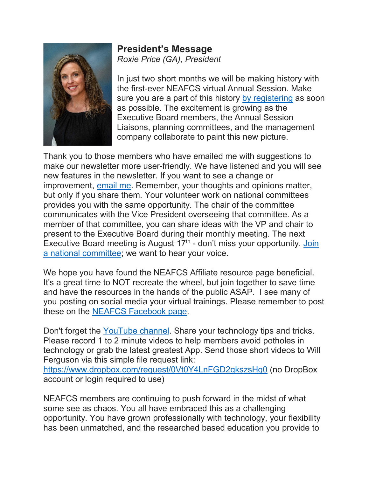

**President's Message** *Roxie Price (GA), President*

In just two short months we will be making history with the first-ever NEAFCS virtual Annual Session. Make sure you are a part of this history [by registering](https://www.neafcs.org/2020-annual-session) as soon as possible. The excitement is growing as the Executive Board members, the Annual Session Liaisons, planning committees, and the management company collaborate to paint this new picture.

Thank you to those members who have emailed me with suggestions to make our newsletter more user-friendly. We have listened and you will see new features in the newsletter. If you want to see a change or improvement, [email me.](mailto:roxieb@uga.edu) Remember, your thoughts and opinions matter, but only if you share them. Your volunteer work on national committees provides you with the same opportunity. The chair of the committee communicates with the Vice President overseeing that committee. As a member of that committee, you can share ideas with the VP and chair to present to the Executive Board during their monthly meeting. The next Executive Board meeting is August  $17<sup>th</sup>$  - don't miss your opportunity. Join [a national committee;](https://www.neafcs.org/join-a-committee) we want to hear your voice.

We hope you have found the NEAFCS Affiliate resource page beneficial. It's a great time to NOT recreate the wheel, but join together to save time and have the resources in the hands of the public ASAP. I see many of you posting on social media your virtual trainings. Please remember to post these on the [NEAFCS Facebook page.](https://www.facebook.com/NEAFCS)

Don't forget the [YouTube channel.](https://www.youtube.com/channel/UCtavmhb6PYODHYvSrU-nKcg) Share your technology tips and tricks. Please record 1 to 2 minute videos to help members avoid potholes in technology or grab the latest greatest App. Send those short videos to Will Ferguson via this simple file request link:

<https://www.dropbox.com/request/0Vt0Y4LnFGD2gkszsHq0> (no DropBox account or login required to use)

NEAFCS members are continuing to push forward in the midst of what some see as chaos. You all have embraced this as a challenging opportunity. You have grown professionally with technology, your flexibility has been unmatched, and the researched based education you provide to